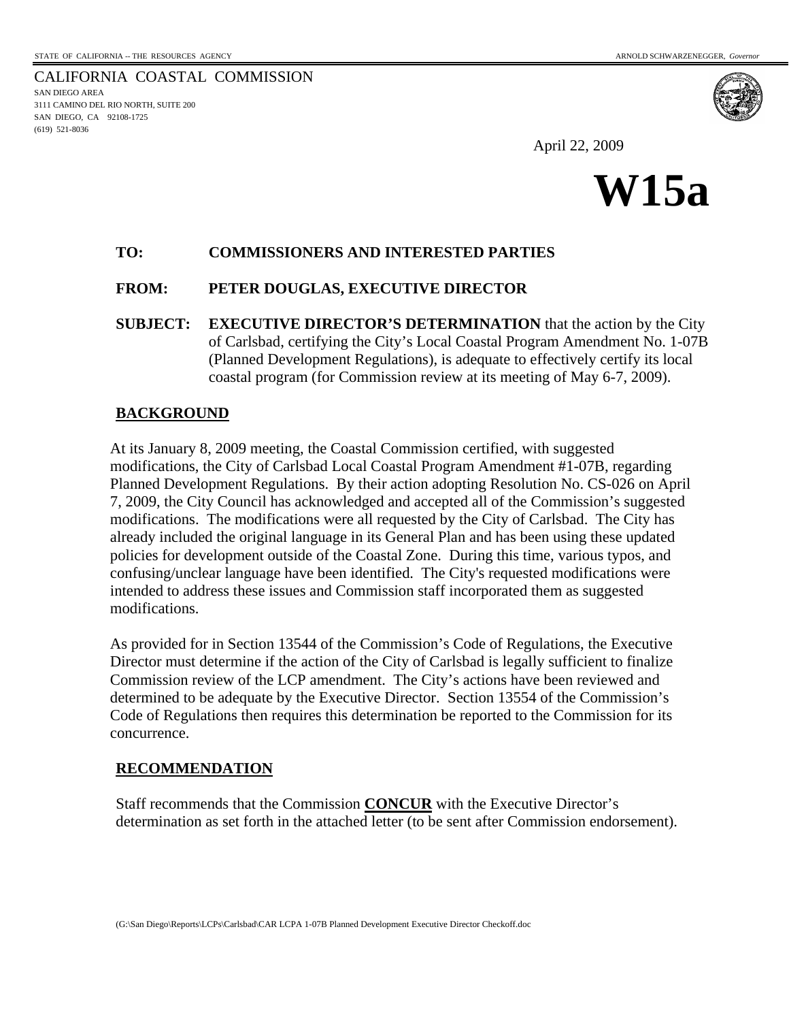CALIFORNIA COASTAL COMMISSION SAN DIEGO AREA 3111 CAMINO DEL RIO NORTH, SUITE 200 SAN DIEGO, CA 92108-1725 (619) 521-8036

April 22, 2009



## **TO: COMMISSIONERS AND INTERESTED PARTIES**

## **FROM: PETER DOUGLAS, EXECUTIVE DIRECTOR**

**SUBJECT: EXECUTIVE DIRECTOR'S DETERMINATION** that the action by the City of Carlsbad, certifying the City's Local Coastal Program Amendment No. 1-07B (Planned Development Regulations), is adequate to effectively certify its local coastal program (for Commission review at its meeting of May 6-7, 2009).

## **BACKGROUND**

At its January 8, 2009 meeting, the Coastal Commission certified, with suggested modifications, the City of Carlsbad Local Coastal Program Amendment #1-07B, regarding Planned Development Regulations. By their action adopting Resolution No. CS-026 on April 7, 2009, the City Council has acknowledged and accepted all of the Commission's suggested modifications. The modifications were all requested by the City of Carlsbad. The City has already included the original language in its General Plan and has been using these updated policies for development outside of the Coastal Zone. During this time, various typos, and confusing/unclear language have been identified. The City's requested modifications were intended to address these issues and Commission staff incorporated them as suggested modifications.

As provided for in Section 13544 of the Commission's Code of Regulations, the Executive Director must determine if the action of the City of Carlsbad is legally sufficient to finalize Commission review of the LCP amendment. The City's actions have been reviewed and determined to be adequate by the Executive Director. Section 13554 of the Commission's Code of Regulations then requires this determination be reported to the Commission for its concurrence.

#### **RECOMMENDATION**

Staff recommends that the Commission **CONCUR** with the Executive Director's determination as set forth in the attached letter (to be sent after Commission endorsement).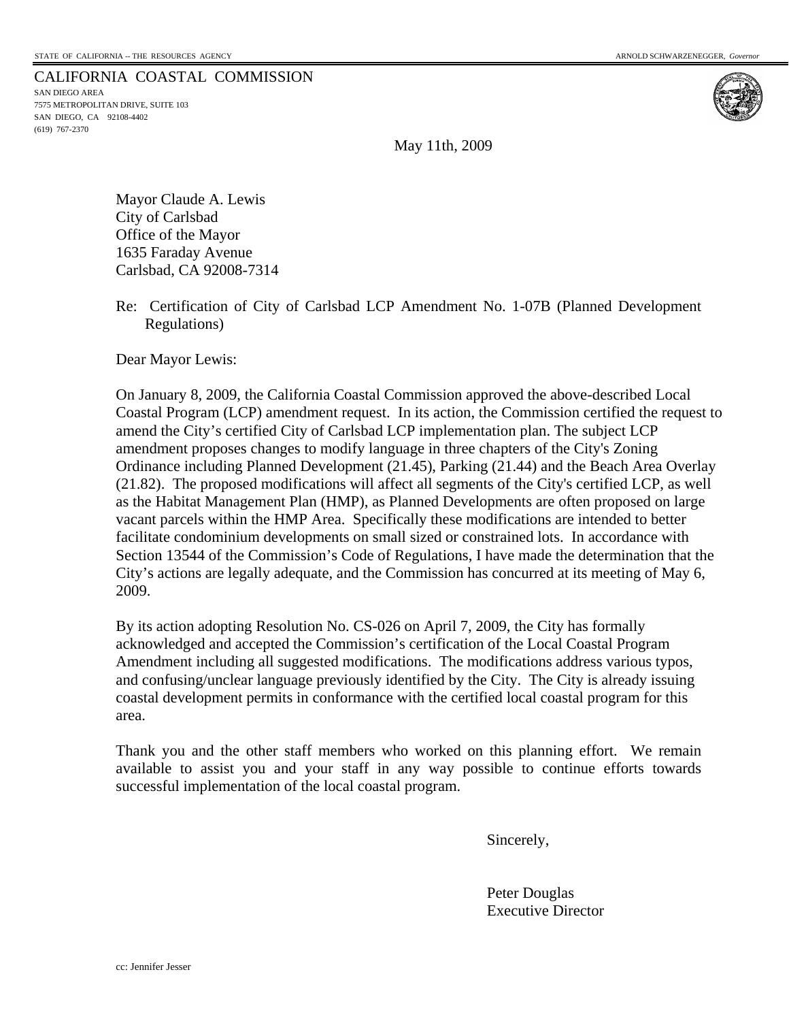# CALIFORNIA COASTAL COMMISSION SAN DIEGO AREA

7575 METROPOLITAN DRIVE, SUITE 103 SAN DIEGO, CA 92108-4402 (619) 767-2370



May 11th, 2009

Mayor Claude A. Lewis City of Carlsbad Office of the Mayor 1635 Faraday Avenue Carlsbad, CA 92008-7314

Re: Certification of City of Carlsbad LCP Amendment No. 1-07B (Planned Development Regulations)

Dear Mayor Lewis:

On January 8, 2009, the California Coastal Commission approved the above-described Local Coastal Program (LCP) amendment request. In its action, the Commission certified the request to amend the City's certified City of Carlsbad LCP implementation plan. The subject LCP amendment proposes changes to modify language in three chapters of the City's Zoning Ordinance including Planned Development (21.45), Parking (21.44) and the Beach Area Overlay (21.82). The proposed modifications will affect all segments of the City's certified LCP, as well as the Habitat Management Plan (HMP), as Planned Developments are often proposed on large vacant parcels within the HMP Area. Specifically these modifications are intended to better facilitate condominium developments on small sized or constrained lots. In accordance with Section 13544 of the Commission's Code of Regulations, I have made the determination that the City's actions are legally adequate, and the Commission has concurred at its meeting of May 6, 2009.

By its action adopting Resolution No. CS-026 on April 7, 2009, the City has formally acknowledged and accepted the Commission's certification of the Local Coastal Program Amendment including all suggested modifications. The modifications address various typos, and confusing/unclear language previously identified by the City. The City is already issuing coastal development permits in conformance with the certified local coastal program for this area.

Thank you and the other staff members who worked on this planning effort. We remain available to assist you and your staff in any way possible to continue efforts towards successful implementation of the local coastal program.

Sincerely,

 Peter Douglas Executive Director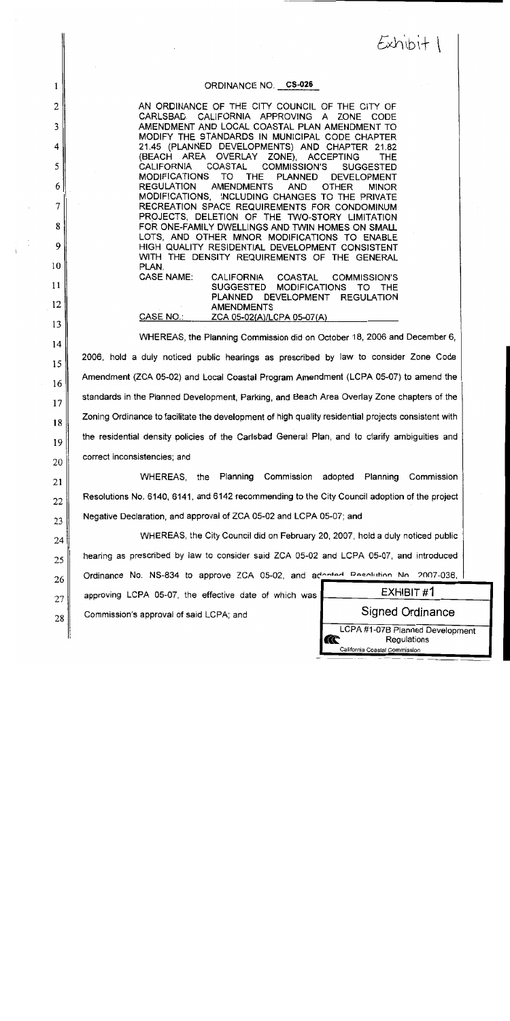$Exhibit$ 

#### ORDINANCE NO. CS-026

AN ORDINANCE OF THE CITY COUNCIL OF THE CITY OF CARLSBAD, CALIFORNIA APPROVING A ZONE CODE AMENDMENT AND LOCAL COASTAL PLAN AMENDMENT TO MODIFY THE STANDARDS IN MUNICIPAL CODE CHAPTER 21.45 (PLANNED DEVELOPMENTS) AND CHAPTER 21.82 (BEACH AREA OVERLAY ZONE). **ACCEPTING** THE **CALIFORNIA COASTAL COMMISSION'S SUGGESTED PLANNED MODIFICATIONS** TO **THE DEVELOPMENT REGULATION AMENDMENTS OTHER** AND **MINOR** MODIFICATIONS. INCLUDING CHANGES TO THE PRIVATE RECREATION SPACE REQUIREMENTS FOR CONDOMINUM PROJECTS, DELETION OF THE TWO-STORY LIMITATION FOR ONE-FAMILY DWELLINGS AND TWIN HOMES ON SMALL LOTS, AND OTHER MINOR MODIFICATIONS TO ENABLE HIGH QUALITY RESIDENTIAL DEVELOPMENT CONSISTENT WITH THE DENSITY REQUIREMENTS OF THE GENERAL PLAN. **CASE NAME: CALIFORNIA COASTAL COMMISSION'S SUGGESTED MODIFICATIONS** TO THE PLANNED DEVELOPMENT REGULATION **AMENDMENTS** CASE NO.: ZCA 05-02(A)/LCPA 05-07(A)

WHEREAS, the Planning Commission did on October 18, 2006 and December 6, 2006. hold a duly noticed public hearings as prescribed by law to consider Zone Code Amendment (ZCA 05-02) and Local Coastal Program Amendment (LCPA 05-07) to amend the standards in the Planned Development, Parking, and Beach Area Overlay Zone chapters of the Zoning Ordinance to facilitate the development of high quality residential projects consistent with the residential density policies of the Carlsbad General Plan, and to clarify ambiguities and correct inconsistencies; and

**WHEREAS.** the Planning Commission adopted Planning Commission 21 Resolutions No. 6140, 6141, and 6142 recommending to the City Council adoption of the project 22 Negative Declaration, and approval of ZCA 05-02 and LCPA 05-07; and 23

WHEREAS, the City Council did on February 20, 2007, hold a duly noticed public 24 hearing as prescribed by law to consider said ZCA 05-02 and LCPA 05-07, and introduced 25 Ordinance No. NS-834 to approve ZCA 05-02, and adopted Resolution No. 2007-036.

approving LCPA 05-07, the effective date of which was 27

Commission's approval of said LCPA; and 28

1

 $\overline{2}$ 

3

4

5

6

7

8

9

10

 $11$ 

12

13

14

15

16

17

18

19

20

26

Signed Ordinance LCPA #1-07B Planned Development Regulations

California Coastal Commission

æ

 $EXHIBIT#1$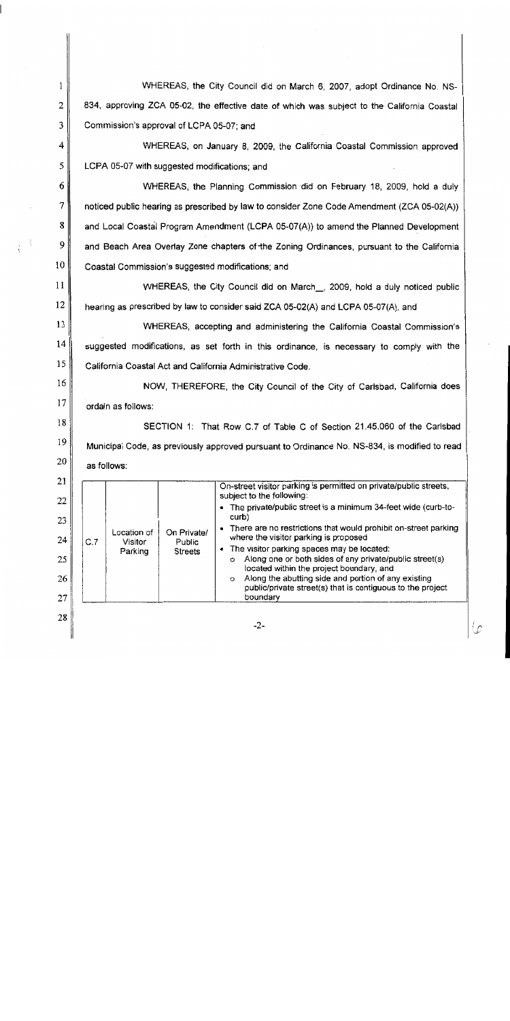| 1  | WHEREAS, the City Council did on March 6, 2007, adopt Ordinance No. NS-                                                                                   |  |  |  |  |  |  |
|----|-----------------------------------------------------------------------------------------------------------------------------------------------------------|--|--|--|--|--|--|
| 2  | 834, approving ZCA 05-02, the effective date of which was subject to the California Coastal                                                               |  |  |  |  |  |  |
| 3  | Commission's approval of LCPA 05-07; and                                                                                                                  |  |  |  |  |  |  |
| 4  | WHEREAS, on January 8, 2009, the California Coastal Commission approved                                                                                   |  |  |  |  |  |  |
| 5  | LCPA 05-07 with suggested modifications; and                                                                                                              |  |  |  |  |  |  |
| 6  | WHEREAS, the Planning Commission did on February 18, 2009, hold a duly                                                                                    |  |  |  |  |  |  |
| 7  | noticed public hearing as prescribed by law to consider Zone Code Amendment (ZCA 05-02(A))                                                                |  |  |  |  |  |  |
| 8  | and Local Coastal Program Amendment (LCPA 05-07(A)) to amend the Planned Development                                                                      |  |  |  |  |  |  |
| 9  | and Beach Area Overlay Zone chapters of the Zoning Ordinances, pursuant to the California                                                                 |  |  |  |  |  |  |
| 10 | Coastal Commission's suggested modifications; and                                                                                                         |  |  |  |  |  |  |
| 11 | WHEREAS, the City Council did on March __, 2009, hold a duly noticed public                                                                               |  |  |  |  |  |  |
| 12 | hearing as prescribed by law to consider said ZCA 05-02(A) and LCPA 05-07(A), and                                                                         |  |  |  |  |  |  |
| 13 | WHEREAS, accepting and administering the California Coastal Commission's                                                                                  |  |  |  |  |  |  |
| 14 | suggested modifications, as set forth in this ordinance, is necessary to comply with the                                                                  |  |  |  |  |  |  |
| 15 | California Coastal Act and California Administrative Code.                                                                                                |  |  |  |  |  |  |
| 16 | NOW, THEREFORE, the City Council of the City of Carlsbad, California does                                                                                 |  |  |  |  |  |  |
| 17 | ordain as follows:                                                                                                                                        |  |  |  |  |  |  |
| 18 | SECTION 1: That Row C.7 of Table C of Section 21.45.060 of the Carlsbad                                                                                   |  |  |  |  |  |  |
| 19 | Municipal Code, as previously approved pursuant to Ordinance No. NS-834, is modified to read                                                              |  |  |  |  |  |  |
| 20 | as follows:                                                                                                                                               |  |  |  |  |  |  |
| 21 | On-street visitor parking is permitted on private/public streets,<br>subject to the following:                                                            |  |  |  |  |  |  |
| 22 | The private/public street is a minimum 34-feet wide (curb-to-                                                                                             |  |  |  |  |  |  |
| 23 | curb)<br>There are no restrictions that would prohibit on-street parking<br>٠<br>Location of<br>On Private/                                               |  |  |  |  |  |  |
| 24 | where the visitor parking is proposed<br>C.7<br>Visitor<br>Public<br>The visitor parking spaces may be located:<br>$\bullet$<br>Parking<br><b>Streets</b> |  |  |  |  |  |  |
| 25 | Along one or both sides of any private/public street(s)<br>$\circ$<br>located within the project boundary, and                                            |  |  |  |  |  |  |
| 26 | Along the abutting side and portion of any existing<br>$\circ$<br>public/private street(s) that is contiguous to the project                              |  |  |  |  |  |  |
| 27 | boundary                                                                                                                                                  |  |  |  |  |  |  |
| 28 | $-2-$                                                                                                                                                     |  |  |  |  |  |  |

 $\varphi$ 

Â ţ

l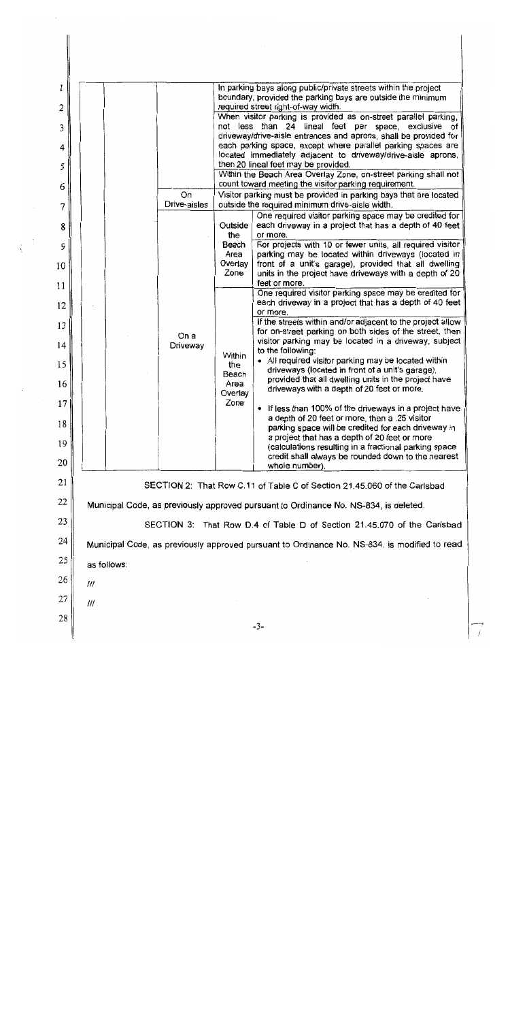$\mathbf{1}$ In parking bays along public/private streets within the project boundary, provided the parking bays are outside the minimum required street right-of-way width.  $\overline{2}$ When visitor parking is provided as on-street parallel parking, not less than 24 lineal feet per space, exclusive of 3 driveway/drive-aisle entrances and aprons, shall be provided for each parking space, except where parallel parking spaces are  $\overline{\mathbf{4}}$ located immediately adjacent to driveway/drive-aisle aprons, then 20 lineal feet may be provided. 5 Within the Beach Area Overlay Zone, on-street parking shall not count toward meeting the visitor parking requirement. 6 On Visitor parking must be provided in parking bays that are located Drive-aisles outside the required minimum drive-aisle width. 7 One required visitor parking space may be credited for each driveway in a project that has a depth of 40 feet Outside 8 the or more. Beach For projects with 10 or fewer units, all required visitor 9 Area parking may be located within driveways (located in Overlay front of a unit's garage), provided that all dwelling 10 units in the project have driveways with a depth of 20 Zone feet or more. 11 One required visitor parking space may be credited for each driveway in a project that has a depth of 40 feet  $12$ or more. If the streets within and/or adjacent to the project allow 13 for on-street parking on both sides of the street, then On a visitor parking may be located in a driveway, subject  $14$ Driveway to the following: Within • All required visitor parking may be located within 15 the driveways (located in front of a unit's garage). Beach provided that all dwelling units in the project have Area 16 driveways with a depth of 20 feet or more. Overlay Zone 17 • If less than 100% of the driveways in a project have a depth of 20 feet or more, then a .25 visitor 18 parking space will be credited for each driveway in a project that has a depth of 20 feet or more 19 (calculations resulting in a fractional parking space credit shall always be rounded down to the nearest 20 whole number). 21 SECTION 2: That Row C.11 of Table C of Section 21.45.060 of the Carlsbad 22 Municipal Code, as previously approved pursuant to Ordinance No. NS-834, is deleted. 23 SECTION 3: That Row D.4 of Table D of Section 21.45.070 of the Carlsbad 24 Municipal Code, as previously approved pursuant to Ordinance No. NS-834, is modified to read 25 as follows: 26 111 27  $III$ 28  $-3-$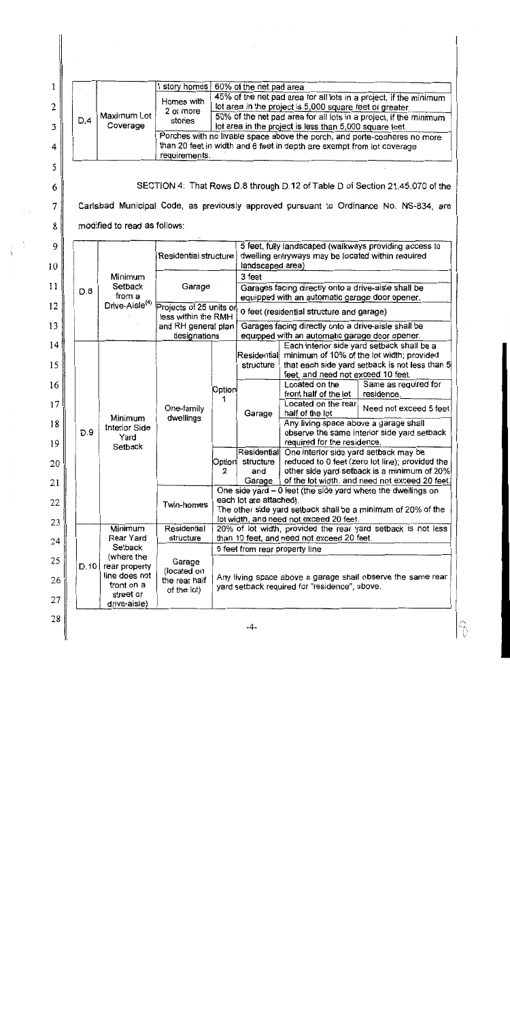| 1        |  |                             |                                                            | 1 story homes                                                                                                                                       |                                                                                                              | 60% of the net pad area                                                                                                                                                                  |                                                                                                                     |                                                                                       |  |  |  |
|----------|--|-----------------------------|------------------------------------------------------------|-----------------------------------------------------------------------------------------------------------------------------------------------------|--------------------------------------------------------------------------------------------------------------|------------------------------------------------------------------------------------------------------------------------------------------------------------------------------------------|---------------------------------------------------------------------------------------------------------------------|---------------------------------------------------------------------------------------|--|--|--|
| 2        |  |                             |                                                            | Homes with                                                                                                                                          |                                                                                                              |                                                                                                                                                                                          |                                                                                                                     | 45% of the net pad area for all lots in a project, if the minimum                     |  |  |  |
| 3        |  | D.4                         | Maximum Lot<br>Coverage                                    | 2 or more<br>stories                                                                                                                                |                                                                                                              | lot area in the project is 5,000 square feet or greater.<br>50% of the net pad area for all lots in a project, if the minimum<br>lot area in the project is less than 5,000 square feet. |                                                                                                                     |                                                                                       |  |  |  |
| 4        |  |                             |                                                            | Porches with no livable space above the porch, and porte-cocheres no more<br>than 20 feet in width and 6 feet in depth are exempt from lot coverage |                                                                                                              |                                                                                                                                                                                          |                                                                                                                     |                                                                                       |  |  |  |
| 5        |  |                             |                                                            | requirements.                                                                                                                                       |                                                                                                              |                                                                                                                                                                                          |                                                                                                                     |                                                                                       |  |  |  |
| 6        |  |                             |                                                            |                                                                                                                                                     |                                                                                                              |                                                                                                                                                                                          |                                                                                                                     | SECTION 4: That Rows D.8 through D.12 of Table D of Section 21.45.070 of the          |  |  |  |
| 7        |  |                             |                                                            |                                                                                                                                                     |                                                                                                              |                                                                                                                                                                                          |                                                                                                                     | Carlsbad Municipal Code, as previously approved pursuant to Ordinance No. NS-834, are |  |  |  |
| 8        |  |                             | modified to read as follows:                               |                                                                                                                                                     |                                                                                                              |                                                                                                                                                                                          |                                                                                                                     |                                                                                       |  |  |  |
| 9        |  |                             |                                                            |                                                                                                                                                     |                                                                                                              |                                                                                                                                                                                          |                                                                                                                     | 5 feet, fully landscaped (walkways providing access to                                |  |  |  |
| 10       |  |                             |                                                            | Residential structure                                                                                                                               |                                                                                                              | dwelling entryways may be located within required<br>landscaped area)                                                                                                                    |                                                                                                                     |                                                                                       |  |  |  |
|          |  |                             | Minimum<br>Setback<br>from a<br>Drive-Aisle <sup>(4)</sup> | Garage                                                                                                                                              |                                                                                                              | 3 feet                                                                                                                                                                                   |                                                                                                                     |                                                                                       |  |  |  |
| 11       |  | D.8                         |                                                            |                                                                                                                                                     |                                                                                                              | Garages facing directly onto a drive-aisle shall be<br>equipped with an automatic garage door opener.                                                                                    |                                                                                                                     |                                                                                       |  |  |  |
| 12       |  |                             |                                                            | Projects of 25 units on<br>less within the RMH<br>and RH general plan<br>designations                                                               |                                                                                                              | 0 feet (residential structure and garage)                                                                                                                                                |                                                                                                                     |                                                                                       |  |  |  |
| 13       |  |                             |                                                            |                                                                                                                                                     |                                                                                                              | Garages facing directly onto a drive-aisle shall be<br>equipped with an automatic garage door opener.                                                                                    |                                                                                                                     |                                                                                       |  |  |  |
| 14       |  |                             | Minimum<br>Interior Side<br>Yard<br>Setback                | One-family<br>dwellings                                                                                                                             | Option<br>1                                                                                                  | Each interior side yard setback shall be a<br>Residential minimum of 10% of the lot width; provided                                                                                      |                                                                                                                     |                                                                                       |  |  |  |
| 15       |  |                             |                                                            |                                                                                                                                                     |                                                                                                              | structure                                                                                                                                                                                |                                                                                                                     | that each side yard setback is not less than 5                                        |  |  |  |
| 16       |  |                             |                                                            |                                                                                                                                                     |                                                                                                              | Garage                                                                                                                                                                                   | feet, and need not exceed 10 feet.<br>Located on the                                                                | Same as required for                                                                  |  |  |  |
| 17       |  |                             |                                                            |                                                                                                                                                     |                                                                                                              |                                                                                                                                                                                          | front half of the lot<br>Located on the rear                                                                        | residence.                                                                            |  |  |  |
|          |  |                             |                                                            |                                                                                                                                                     |                                                                                                              |                                                                                                                                                                                          | half of the lot                                                                                                     | Need not exceed 5 feet                                                                |  |  |  |
| 18<br>19 |  | D.9                         |                                                            |                                                                                                                                                     |                                                                                                              |                                                                                                                                                                                          | Any living space above a garage shall<br>observe the same interior side yard setback<br>required for the residence. |                                                                                       |  |  |  |
|          |  |                             |                                                            |                                                                                                                                                     | Option<br>2                                                                                                  |                                                                                                                                                                                          | Residential One interior side yard setback may be                                                                   |                                                                                       |  |  |  |
| 20       |  |                             |                                                            |                                                                                                                                                     |                                                                                                              | structure<br>and<br>Garage                                                                                                                                                               | reduced to 0 feet (zero lot line); provided the<br>other side yard setback is a minimum of 20%                      |                                                                                       |  |  |  |
| 21       |  |                             |                                                            | Twin-homes                                                                                                                                          |                                                                                                              | of the lot width, and need not exceed 20 feet.<br>One side yard - 0 feet (the side yard where the dwellings on                                                                           |                                                                                                                     |                                                                                       |  |  |  |
| 22       |  |                             |                                                            |                                                                                                                                                     |                                                                                                              | each lot are attached).<br>The other side yard setback shall be a minimum of 20% of the<br>lot width, and need not exceed 20 feet.                                                       |                                                                                                                     |                                                                                       |  |  |  |
| 23       |  |                             | Minimum                                                    | Residential                                                                                                                                         |                                                                                                              |                                                                                                                                                                                          |                                                                                                                     | 20% of lot width, provided the rear yard setback is not less                          |  |  |  |
| 24       |  |                             | Rear Yard<br>Setpack                                       | structure<br>Garage<br>(located on                                                                                                                  | than 10 feet, and need not exceed 20 feet.<br>5 feet from rear property line                                 |                                                                                                                                                                                          |                                                                                                                     |                                                                                       |  |  |  |
| 25       |  | D.10                        | (where the<br>rear property                                |                                                                                                                                                     |                                                                                                              |                                                                                                                                                                                          |                                                                                                                     |                                                                                       |  |  |  |
| 26       |  | line does not<br>front on a | the rear half                                              |                                                                                                                                                     | Any living space above a garage shall observe the same rear<br>yard setback required for "residence", above. |                                                                                                                                                                                          |                                                                                                                     |                                                                                       |  |  |  |
| 27       |  | street or<br>drive-aisle)   |                                                            | of the lot)                                                                                                                                         |                                                                                                              |                                                                                                                                                                                          |                                                                                                                     |                                                                                       |  |  |  |

 $\begin{array}{c} 28 \end{array}$ 

 $|S \rangle$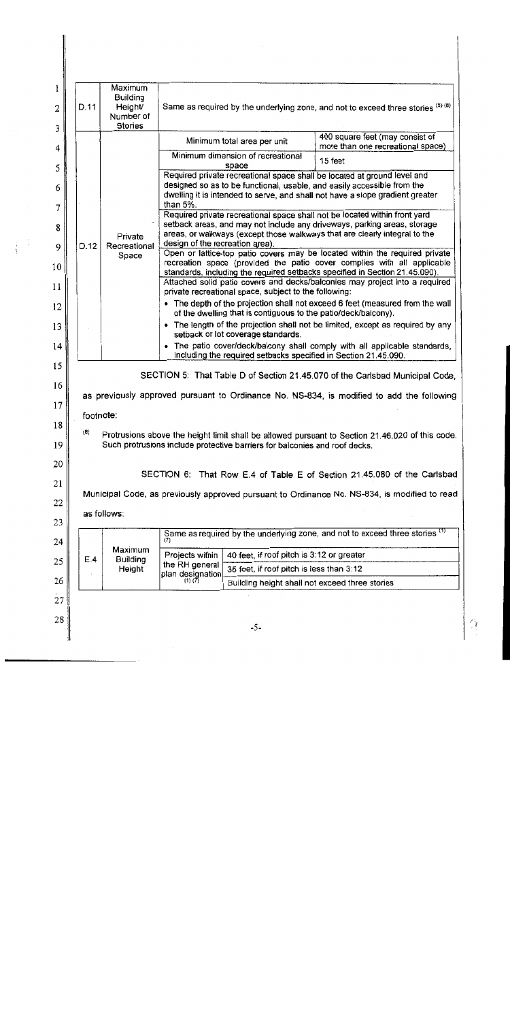| 1<br>2<br>3     | D.11  | Maximum<br><b>Building</b><br>Height/<br>Number of<br><b>Stories</b>                                                                                                                                 | Same as required by the underlying zone, and not to exceed three stories (5) (8)                                                                                                                                                                 |                                                                                       |                                                                                           |  |  |  |
|-----------------|-------|------------------------------------------------------------------------------------------------------------------------------------------------------------------------------------------------------|--------------------------------------------------------------------------------------------------------------------------------------------------------------------------------------------------------------------------------------------------|---------------------------------------------------------------------------------------|-------------------------------------------------------------------------------------------|--|--|--|
| 4               |       |                                                                                                                                                                                                      |                                                                                                                                                                                                                                                  | Minimum total area per unit                                                           | 400 square feet (may consist of<br>more than one recreational space)                      |  |  |  |
| 5               |       |                                                                                                                                                                                                      |                                                                                                                                                                                                                                                  | Minimum dimension of recreational<br>space                                            | 15 feet                                                                                   |  |  |  |
| 6               |       |                                                                                                                                                                                                      | Required private recreational space shall be located at ground level and<br>designed so as to be functional, usable, and easily accessible from the<br>dwelling it is intended to serve, and shall not have a slope gradient greater<br>than 5%. |                                                                                       |                                                                                           |  |  |  |
| 7<br>8          |       | Private                                                                                                                                                                                              | Required private recreational space shall not be located within front yard<br>setback areas, and may not include any driveways, parking areas, storage<br>areas, or walkways (except those walkways that are clearly integral to the             |                                                                                       |                                                                                           |  |  |  |
| 9               | D.12  | Recreational                                                                                                                                                                                         | design of the recreation area).<br>Open or lattice-top patio covers may be located within the required private                                                                                                                                   |                                                                                       |                                                                                           |  |  |  |
| 10              |       | Space                                                                                                                                                                                                | recreation space (provided the patio cover complies with all applicable<br>standards, including the required setbacks specified in Section 21.45.090).                                                                                           |                                                                                       |                                                                                           |  |  |  |
| 11              |       |                                                                                                                                                                                                      | Attached solid patio covers and decks/balconies may project into a required<br>private recreational space, subject to the following:                                                                                                             |                                                                                       |                                                                                           |  |  |  |
| 12              |       |                                                                                                                                                                                                      | • The depth of the projection shall not exceed 6 feet (measured from the wall<br>of the dwelling that is contiguous to the patio/deck/balcony).                                                                                                  |                                                                                       |                                                                                           |  |  |  |
| 13              |       |                                                                                                                                                                                                      | • The length of the projection shall not be limited, except as required by any                                                                                                                                                                   |                                                                                       |                                                                                           |  |  |  |
| 14              |       |                                                                                                                                                                                                      | setback or lot coverage standards.<br>• The patio cover/deck/balcony shall comply with all applicable standards,                                                                                                                                 |                                                                                       |                                                                                           |  |  |  |
| 15              |       |                                                                                                                                                                                                      |                                                                                                                                                                                                                                                  |                                                                                       | including the required setbacks specified in Section 21.45.090.                           |  |  |  |
| 16              |       |                                                                                                                                                                                                      |                                                                                                                                                                                                                                                  |                                                                                       | SECTION 5: That Table D of Section 21.45.070 of the Carlsbad Municipal Code,              |  |  |  |
| 17 <sup>1</sup> |       |                                                                                                                                                                                                      |                                                                                                                                                                                                                                                  |                                                                                       | as previously approved pursuant to Ordinance No. NS-834, is modified to add the following |  |  |  |
| 18              |       | footnote:                                                                                                                                                                                            |                                                                                                                                                                                                                                                  |                                                                                       |                                                                                           |  |  |  |
| 19              |       | $\langle 8 \rangle$<br>Protrusions above the height limit shall be allowed pursuant to Section 21.46.020 of this code.<br>Such protrusions include protective barriers for balconies and roof decks. |                                                                                                                                                                                                                                                  |                                                                                       |                                                                                           |  |  |  |
| 20              |       |                                                                                                                                                                                                      |                                                                                                                                                                                                                                                  |                                                                                       | SECTION 6: That Row E.4 of Table E of Section 21.45.080 of the Carlsbad                   |  |  |  |
| 21              |       | Municipal Code, as previously approved pursuant to Ordinance No. NS-834, is modified to read                                                                                                         |                                                                                                                                                                                                                                                  |                                                                                       |                                                                                           |  |  |  |
| 22              |       | as follows:                                                                                                                                                                                          |                                                                                                                                                                                                                                                  |                                                                                       |                                                                                           |  |  |  |
| 23              |       |                                                                                                                                                                                                      |                                                                                                                                                                                                                                                  |                                                                                       | Same as required by the underlying zone, and not to exceed three stories (1)              |  |  |  |
| 24              |       | Maximum                                                                                                                                                                                              | (7)                                                                                                                                                                                                                                              |                                                                                       |                                                                                           |  |  |  |
| 25              |       | E.4<br><b>Building</b><br>Height                                                                                                                                                                     | Projects within<br>the RH general                                                                                                                                                                                                                | 40 feet, if roof pitch is 3:12 or greater<br>35 feet, if roof pitch is less than 3:12 |                                                                                           |  |  |  |
| 26              |       |                                                                                                                                                                                                      | plan designation                                                                                                                                                                                                                                 | Building height shall not exceed three stories                                        |                                                                                           |  |  |  |
| 27              |       |                                                                                                                                                                                                      |                                                                                                                                                                                                                                                  |                                                                                       |                                                                                           |  |  |  |
| 28              | $-5-$ |                                                                                                                                                                                                      |                                                                                                                                                                                                                                                  |                                                                                       |                                                                                           |  |  |  |
|                 |       |                                                                                                                                                                                                      |                                                                                                                                                                                                                                                  |                                                                                       |                                                                                           |  |  |  |

 $\mathcal{O}_\mathcal{I}$ 

 $\frac{1}{2}$ į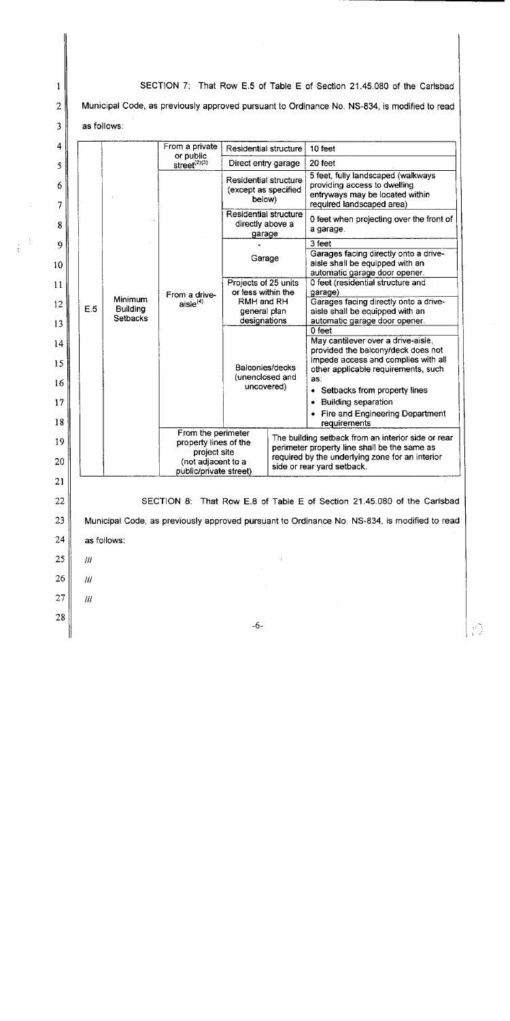SECTION 7: That Row E.5 of Table E of Section 21.45.080 of the Carlsbad  $\mathbf{1}$  $\overline{2}$ Municipal Code, as previously approved pursuant to Ordinance No. NS-834, is modified to read 3 as follows: 4 From a private **Residential structure** 10 feet or public<br>street<sup>(2)(3)</sup> Direct entry garage 20 feet  $\mathcal{S}$ 5 feet, fully landscaped (walkways Residential structure providing access to dwelling 6 (except as specified entryways may be located within below) required landscaped area) 7 **Residential structure** 0 feet when projecting over the front of directly above a 8 a garage. garage  $3$  feet 9 Garages facing directly onto a drive-Garage aisle shall be equipped with an 10 automatic garage door opener. Projects of 25 units 0 feet (residential structure and  $11$ or less within the garage) From a drive-**Minimum** RMH and RH Garages facing directly onto a drive $aisle<sup>(4)</sup>$ 12 E.5 **Building** general plan aisle shall be equipped with an **Setbacks** designations automatic garage door opener. 13  $0$  feet May cantilever over a drive-aisle,  $14$ provided the balcony/deck does not impede access and complies with all 15 Balconies/decks other applicable requirements, such (unenclosed and as: 16 uncovered) • Setbacks from property lines 17 • Building separation • Fire and Engineering Department 18 requirements From the perimeter The building setback from an interior side or rear 19 property lines of the perimeter property line shall be the same as project site required by the underlying zone for an interior 20 (not adjacent to a side or rear yard setback. public/private street) 21 22 SECTION 8: That Row E.8 of Table E of Section 21.45.080 of the Carlsbad  $23$ Municipal Code, as previously approved pursuant to Ordinance No. NS-834, is modified to read 24 as follows: 25  $^{\prime\prime\prime}$ 26  $III$ 27  $III$ 28  $-6-$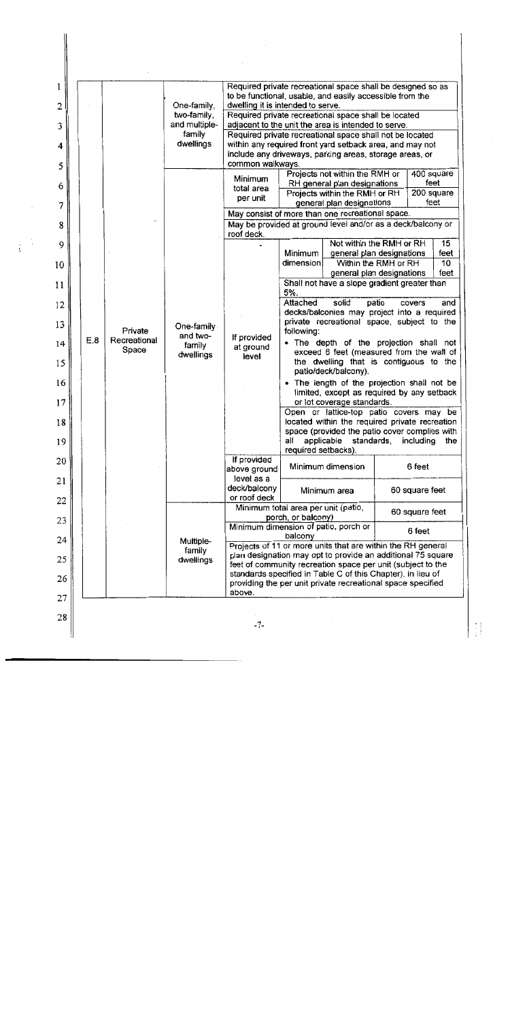| 1              |     |                         | One-family,<br>two-family,<br>and multiple-<br>family<br>dwellings | Required private recreational space shall be designed so as<br>to be functional, usable, and easily accessible from the              |                                                                                                                            |  |                    |            |  |
|----------------|-----|-------------------------|--------------------------------------------------------------------|--------------------------------------------------------------------------------------------------------------------------------------|----------------------------------------------------------------------------------------------------------------------------|--|--------------------|------------|--|
| $\overline{2}$ |     |                         |                                                                    | dwelling it is intended to serve.                                                                                                    |                                                                                                                            |  |                    |            |  |
| 3              |     |                         |                                                                    | Required private recreational space shall be located<br>adjacent to the unit the area is intended to serve.                          |                                                                                                                            |  |                    |            |  |
|                |     |                         |                                                                    | Required private recreational space shall not be located                                                                             |                                                                                                                            |  |                    |            |  |
| 4              |     |                         |                                                                    | within any required front yard setback area, and may not<br>include any driveways, parking areas, storage areas, or                  |                                                                                                                            |  |                    |            |  |
| 5              |     |                         |                                                                    | common walkways.                                                                                                                     |                                                                                                                            |  |                    |            |  |
|                |     |                         |                                                                    | Minimum                                                                                                                              | Projects not within the RMH or                                                                                             |  | 400 square         |            |  |
| 6              |     |                         |                                                                    | total area                                                                                                                           | RH general plan designations                                                                                               |  | feet               |            |  |
| 7              |     |                         |                                                                    | per unit                                                                                                                             | Projects within the RMH or RH<br>general plan designations                                                                 |  | 200 square<br>feet |            |  |
|                |     |                         |                                                                    | May consist of more than one recreational space.                                                                                     |                                                                                                                            |  |                    |            |  |
| 8              |     |                         |                                                                    | May be provided at ground level and/or as a deck/balcony or<br>roof deck.                                                            |                                                                                                                            |  |                    |            |  |
| 9              |     |                         |                                                                    |                                                                                                                                      | Not within the RMH or RH<br>Minimum                                                                                        |  |                    | 15<br>feet |  |
| 10             |     |                         |                                                                    |                                                                                                                                      | general plan designations<br>Within the RMH or RH<br>dimension                                                             |  |                    | 10         |  |
|                |     |                         |                                                                    |                                                                                                                                      | general plan designations                                                                                                  |  |                    | feet       |  |
| 11             |     |                         |                                                                    |                                                                                                                                      | Shall not have a slope gradient greater than<br>5%.<br>Attached                                                            |  |                    |            |  |
| 12             |     |                         |                                                                    |                                                                                                                                      | solid<br>patio<br>and<br>covers<br>decks/balconies may project into a required                                             |  |                    |            |  |
| 13             |     |                         | One-family                                                         | If provided<br>at ground<br>level                                                                                                    | private recreational space, subject to the                                                                                 |  |                    |            |  |
|                | E.8 | Private<br>Recreational | and two-                                                           |                                                                                                                                      | following:<br>. The depth of the projection shall not                                                                      |  |                    |            |  |
| 14<br>15       |     | Space                   | family<br>dwellings                                                |                                                                                                                                      | exceed 6 feet (measured from the wall of<br>the dwelling that is contiguous to the<br>patio/deck/balcony).                 |  |                    |            |  |
| 16             |     |                         |                                                                    |                                                                                                                                      | • The length of the projection shall not be                                                                                |  |                    |            |  |
| 17             |     |                         |                                                                    |                                                                                                                                      | limited, except as required by any setback<br>or lot coverage standards.                                                   |  |                    |            |  |
| 18             |     |                         |                                                                    |                                                                                                                                      | Open or lattice-top patio covers may be<br>located within the required private recreation                                  |  |                    |            |  |
| 19             |     |                         |                                                                    |                                                                                                                                      | space (provided the patio cover complies with<br>all<br>applicable<br>standards<br>including<br>the<br>required setbacks). |  |                    |            |  |
| 20             |     |                         |                                                                    | If provided<br>above ground                                                                                                          | Minimum dimension                                                                                                          |  | 6 feet             |            |  |
| 21             |     |                         |                                                                    | level as a<br>deck/balcony                                                                                                           | Minimum area                                                                                                               |  | 60 square feet     |            |  |
| 22             |     |                         |                                                                    | or roof deck                                                                                                                         | Minimum total area per unit (patio,                                                                                        |  |                    |            |  |
| 23             |     |                         | Multiple-<br>family<br>dwellings                                   | 60 square feet<br>porch, or balcony)                                                                                                 |                                                                                                                            |  |                    |            |  |
| 24             |     |                         |                                                                    | Minimum dimension of patio, porch or<br>6 feet<br>balcony                                                                            |                                                                                                                            |  |                    |            |  |
|                |     |                         |                                                                    | Projects of 11 or more units that are within the RH general<br>plan designation may opt to provide an additional 75 square           |                                                                                                                            |  |                    |            |  |
| 25             |     |                         |                                                                    | feet of community recreation space per unit (subject to the                                                                          |                                                                                                                            |  |                    |            |  |
| 26             |     |                         |                                                                    | standards specified in Table C of this Chapter), in lieu of<br>providing the per unit private recreational space specified<br>above. |                                                                                                                            |  |                    |            |  |
| 27             |     |                         |                                                                    |                                                                                                                                      |                                                                                                                            |  |                    |            |  |
| 28             |     |                         |                                                                    | $-7-$                                                                                                                                |                                                                                                                            |  |                    |            |  |

 $\Big\}$ 

Ĵ,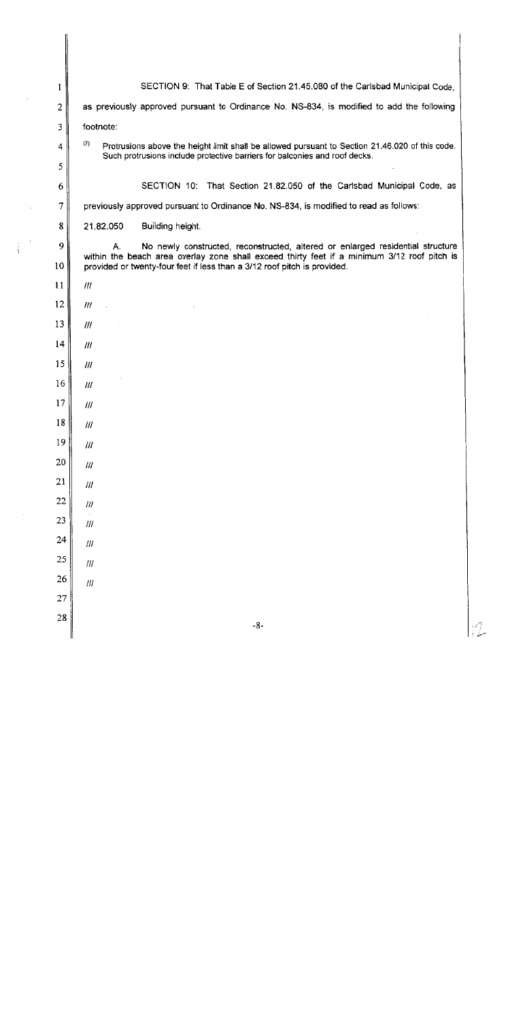| 1      | SECTION 9: That Table E of Section 21.45.080 of the Carlsbad Municipal Code,                                                                                                        |
|--------|-------------------------------------------------------------------------------------------------------------------------------------------------------------------------------------|
| 2      | as previously approved pursuant to Ordinance No. NS-834, is modified to add the following                                                                                           |
| 3      | footnote:                                                                                                                                                                           |
| 4      | (7)<br>Protrusions above the height limit shall be allowed pursuant to Section 21.46.020 of this code.                                                                              |
| 5      | Such protrusions include protective barriers for balconies and roof decks.                                                                                                          |
| 6      | SECTION 10: That Section 21.82.050 of the Carlsbad Municipal Code, as                                                                                                               |
| 7      | previously approved pursuant to Ordinance No. NS-834, is modified to read as follows:                                                                                               |
| 8      | Building height.<br>21.82.050                                                                                                                                                       |
| 9      | No newly constructed, reconstructed, altered or enlarged residential structure<br>А.<br>within the beach area overlay zone shall exceed thirty feet if a minimum 3/12 roof pitch is |
| 10     | provided or twenty-four feet if less than a 3/12 roof pitch is provided.                                                                                                            |
| 11     | III                                                                                                                                                                                 |
| 12     | III                                                                                                                                                                                 |
| 13     | Ш                                                                                                                                                                                   |
| 14     | III                                                                                                                                                                                 |
| 15     | 111                                                                                                                                                                                 |
| 16     | 111                                                                                                                                                                                 |
| 17     | 111                                                                                                                                                                                 |
| $18\,$ | $I\!I\!I$                                                                                                                                                                           |
| 19     | $\ensuremath{\mathit{III}}\xspace$                                                                                                                                                  |
| 20     | $I\!I\!I$                                                                                                                                                                           |
| $21\,$ | $I\!I\!I$                                                                                                                                                                           |
| 22     | $l\bar l\bar l$                                                                                                                                                                     |
| 23     | $J\!H$                                                                                                                                                                              |
| 24     | $\ensuremath{f\!H}\xspace$                                                                                                                                                          |
| 25     | $l\bar{l}l$                                                                                                                                                                         |
| 26     | $\ensuremath{f\!H}\xspace$                                                                                                                                                          |
| 27     |                                                                                                                                                                                     |
| 28     | $-8-$                                                                                                                                                                               |

 $\hat{z}$ 

 $\bar{\beta}$ 

 $\begin{pmatrix} 1 & 1 \\ 1 & 1 \end{pmatrix}$